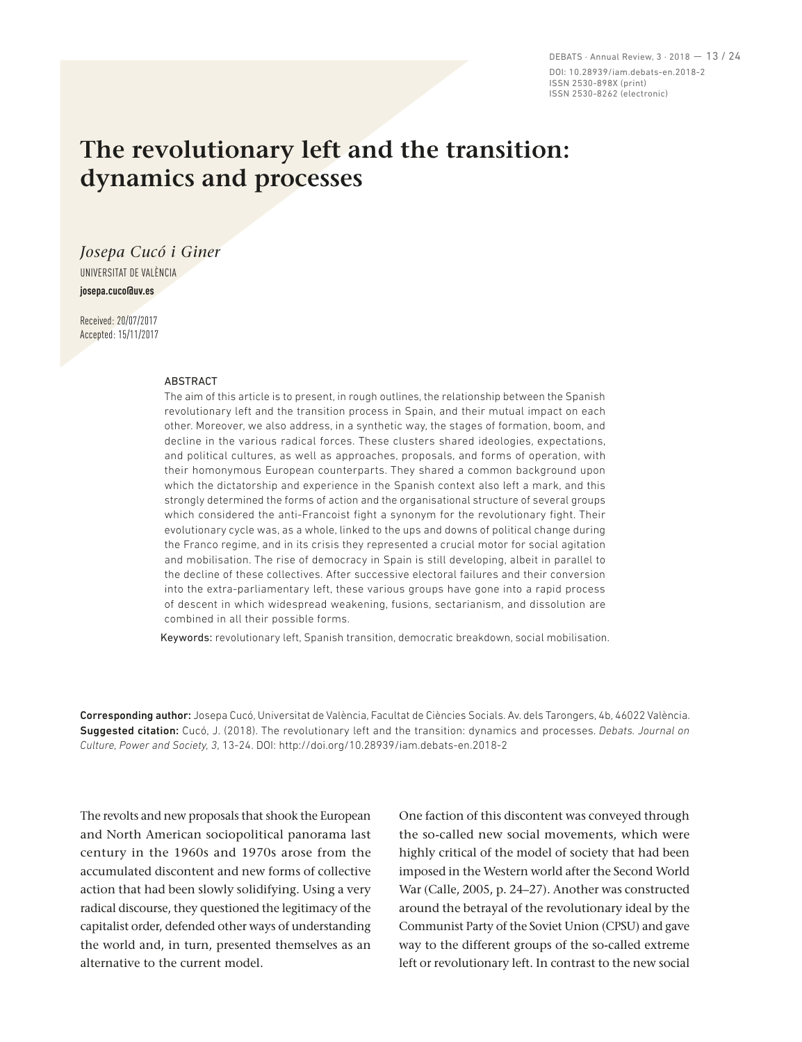DEBATS · Annual Review, 3 · 2018 — 13 / 24 DOI: 10.28939/iam.debats-en.2018-2 ISSN 2530-898X (print) ISSN 2530-8262 (electronic)

# **The revolutionary left and the transition: dynamics and processes**

*Josepa Cucó i Giner* UNIVERSITAT DE VALÈNCIA **josepa.cuco@uv.es**

Received: 20/07/2017 Accepted: 15/11/2017

#### **ABSTRACT**

The aim of this article is to present, in rough outlines, the relationship between the Spanish revolutionary left and the transition process in Spain, and their mutual impact on each other. Moreover, we also address, in a synthetic way, the stages of formation, boom, and decline in the various radical forces. These clusters shared ideologies, expectations, and political cultures, as well as approaches, proposals, and forms of operation, with their homonymous European counterparts. They shared a common background upon which the dictatorship and experience in the Spanish context also left a mark, and this strongly determined the forms of action and the organisational structure of several groups which considered the anti-Francoist fight a synonym for the revolutionary fight. Their evolutionary cycle was, as a whole, linked to the ups and downs of political change during the Franco regime, and in its crisis they represented a crucial motor for social agitation and mobilisation. The rise of democracy in Spain is still developing, albeit in parallel to the decline of these collectives. After successive electoral failures and their conversion into the extra-parliamentary left, these various groups have gone into a rapid process of descent in which widespread weakening, fusions, sectarianism, and dissolution are combined in all their possible forms.

Keywords: revolutionary left, Spanish transition, democratic breakdown, social mobilisation.

Corresponding author: Josepa Cucó, Universitat de València, Facultat de Ciències Socials. Av. dels Tarongers, 4b, 46022 València. Suggested citation: Cucó, J. (2018). The revolutionary left and the transition: dynamics and processes. *Debats. Journal on Culture, Power and Society, 3*, 13-24. DOI: http://doi.org/10.28939/iam.debats-en.2018-2

The revolts and new proposals that shook the European and North American sociopolitical panorama last century in the 1960s and 1970s arose from the accumulated discontent and new forms of collective action that had been slowly solidifying. Using a very radical discourse, they questioned the legitimacy of the capitalist order, defended other ways of understanding the world and, in turn, presented themselves as an alternative to the current model.

One faction of this discontent was conveyed through the so-called new social movements, which were highly critical of the model of society that had been imposed in the Western world after the Second World War (Calle, 2005, p. 24–27). Another was constructed around the betrayal of the revolutionary ideal by the Communist Party of the Soviet Union (CPSU) and gave way to the different groups of the so-called extreme left or revolutionary left. In contrast to the new social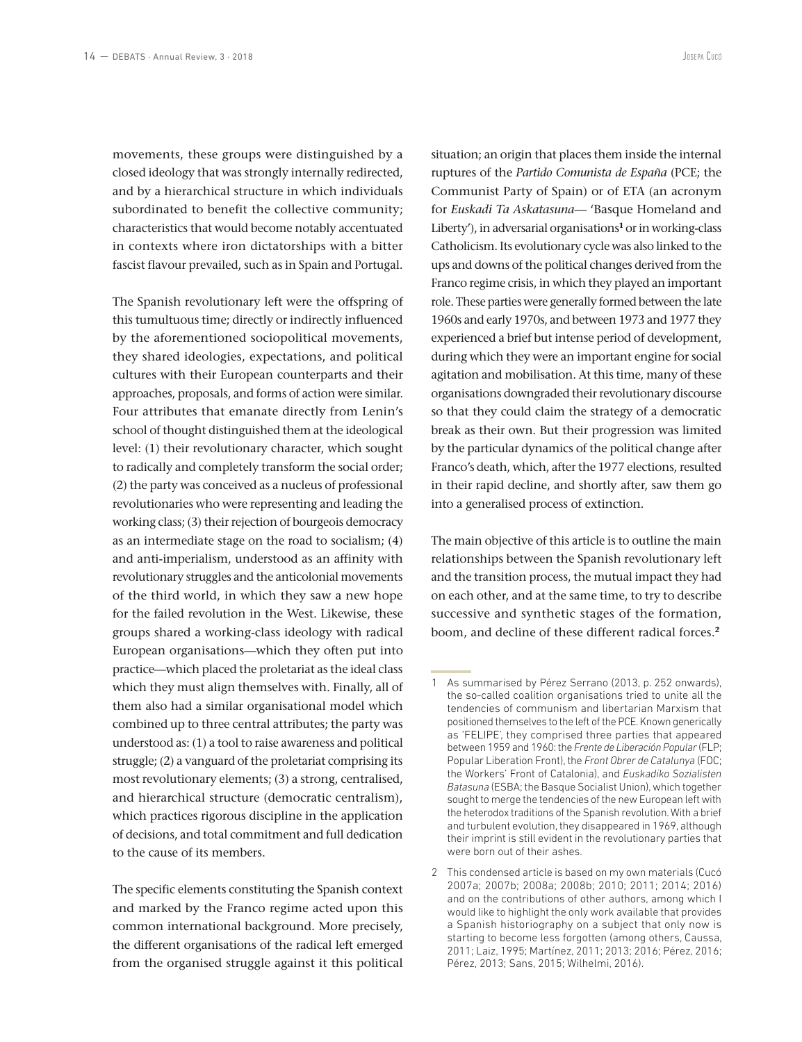movements, these groups were distinguished by a closed ideology that was strongly internally redirected, and by a hierarchical structure in which individuals subordinated to benefit the collective community; characteristics that would become notably accentuated in contexts where iron dictatorships with a bitter fascist flavour prevailed, such as in Spain and Portugal.

The Spanish revolutionary left were the offspring of this tumultuous time; directly or indirectly influenced by the aforementioned sociopolitical movements, they shared ideologies, expectations, and political cultures with their European counterparts and their approaches, proposals, and forms of action were similar. Four attributes that emanate directly from Lenin's school of thought distinguished them at the ideological level: (1) their revolutionary character, which sought to radically and completely transform the social order; (2) the party was conceived as a nucleus of professional revolutionaries who were representing and leading the working class; (3) their rejection of bourgeois democracy as an intermediate stage on the road to socialism; (4) and anti-imperialism, understood as an affinity with revolutionary struggles and the anticolonial movements of the third world, in which they saw a new hope for the failed revolution in the West. Likewise, these groups shared a working-class ideology with radical European organisations—which they often put into practice—which placed the proletariat as the ideal class which they must align themselves with. Finally, all of them also had a similar organisational model which combined up to three central attributes; the party was understood as: (1) a tool to raise awareness and political struggle; (2) a vanguard of the proletariat comprising its most revolutionary elements; (3) a strong, centralised, and hierarchical structure (democratic centralism), which practices rigorous discipline in the application of decisions, and total commitment and full dedication to the cause of its members.

The specific elements constituting the Spanish context and marked by the Franco regime acted upon this common international background. More precisely, the different organisations of the radical left emerged from the organised struggle against it this political

situation; an origin that places them inside the internal ruptures of the *Partido Comunista de España* (PCE; the Communist Party of Spain) or of ETA (an acronym for *Euskadi Ta Askatasuna*— 'Basque Homeland and Liberty'), in adversarial organisations**<sup>1</sup>** or in working-class Catholicism. Its evolutionary cycle was also linked to the ups and downs of the political changes derived from the Franco regime crisis, in which they played an important role. These parties were generally formed between the late 1960s and early 1970s, and between 1973 and 1977 they experienced a brief but intense period of development, during which they were an important engine for social agitation and mobilisation. At this time, many of these organisations downgraded their revolutionary discourse so that they could claim the strategy of a democratic break as their own. But their progression was limited by the particular dynamics of the political change after Franco's death, which, after the 1977 elections, resulted in their rapid decline, and shortly after, saw them go into a generalised process of extinction.

The main objective of this article is to outline the main relationships between the Spanish revolutionary left and the transition process, the mutual impact they had on each other, and at the same time, to try to describe successive and synthetic stages of the formation, boom, and decline of these different radical forces.**<sup>2</sup>**

<sup>1</sup> As summarised by Pérez Serrano (2013, p. 252 onwards), the so-called coalition organisations tried to unite all the tendencies of communism and libertarian Marxism that positioned themselves to the left of the PCE. Known generically as 'FELIPE', they comprised three parties that appeared between 1959 and 1960: the *Frente de Liberación Popular* (FLP; Popular Liberation Front), the *Front Obrer de Catalunya* (FOC; the Workers' Front of Catalonia), and *Euskadiko Sozialisten Batasuna* (ESBA; the Basque Socialist Union), which together sought to merge the tendencies of the new European left with the heterodox traditions of the Spanish revolution. With a brief and turbulent evolution, they disappeared in 1969, although their imprint is still evident in the revolutionary parties that were born out of their ashes.

<sup>2</sup> This condensed article is based on my own materials (Cucó 2007a; 2007b; 2008a; 2008b; 2010; 2011; 2014; 2016) and on the contributions of other authors, among which I would like to highlight the only work available that provides a Spanish historiography on a subject that only now is starting to become less forgotten (among others, Caussa, 2011; Laiz, 1995; Martínez, 2011; 2013; 2016; Pérez, 2016; Pérez, 2013; Sans, 2015; Wilhelmi, 2016).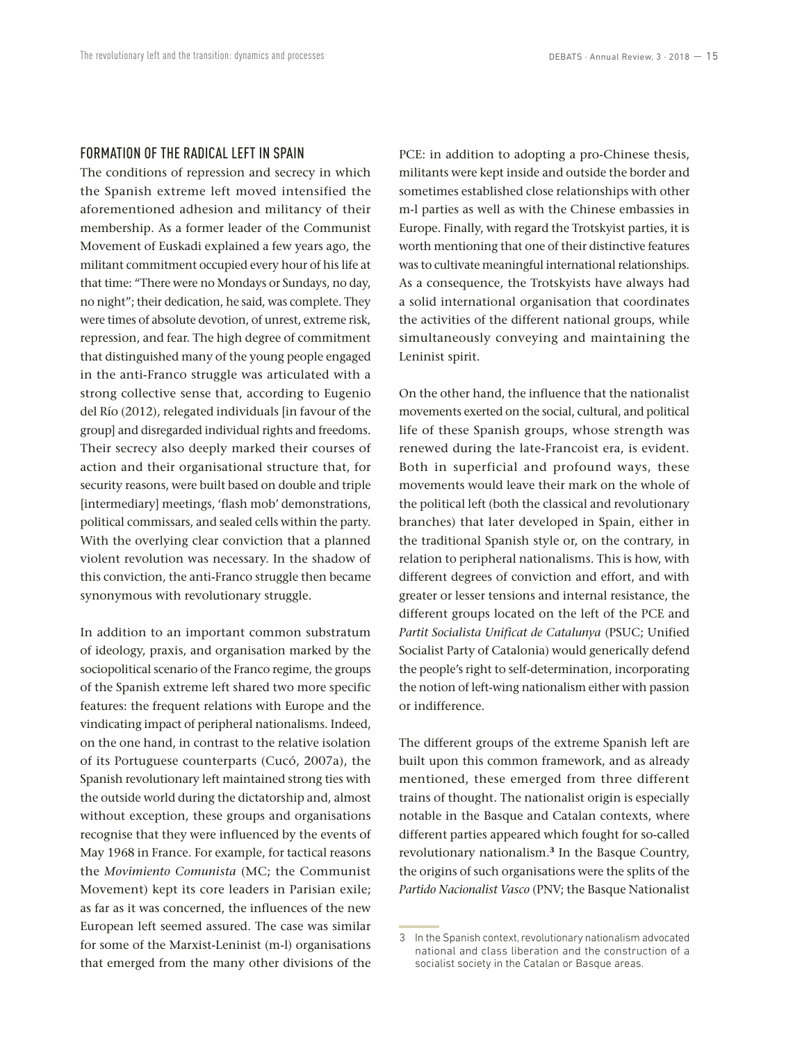#### FORMATION OF THE RADICAL LEFT IN SPAIN

The conditions of repression and secrecy in which the Spanish extreme left moved intensified the aforementioned adhesion and militancy of their membership. As a former leader of the Communist Movement of Euskadi explained a few years ago, the militant commitment occupied every hour of his life at that time: "There were no Mondays or Sundays, no day, no night"; their dedication, he said, was complete. They were times of absolute devotion, of unrest, extreme risk, repression, and fear. The high degree of commitment that distinguished many of the young people engaged in the anti-Franco struggle was articulated with a strong collective sense that, according to Eugenio del Río (2012), relegated individuals [in favour of the group] and disregarded individual rights and freedoms. Their secrecy also deeply marked their courses of action and their organisational structure that, for security reasons, were built based on double and triple [intermediary] meetings, 'flash mob' demonstrations, political commissars, and sealed cells within the party. With the overlying clear conviction that a planned violent revolution was necessary. In the shadow of this conviction, the anti-Franco struggle then became synonymous with revolutionary struggle.

In addition to an important common substratum of ideology, praxis, and organisation marked by the sociopolitical scenario of the Franco regime, the groups of the Spanish extreme left shared two more specific features: the frequent relations with Europe and the vindicating impact of peripheral nationalisms. Indeed, on the one hand, in contrast to the relative isolation of its Portuguese counterparts (Cucó, 2007a), the Spanish revolutionary left maintained strong ties with the outside world during the dictatorship and, almost without exception, these groups and organisations recognise that they were influenced by the events of May 1968 in France. For example, for tactical reasons the *Movimiento Comunista* (MC; the Communist Movement) kept its core leaders in Parisian exile; as far as it was concerned, the influences of the new European left seemed assured. The case was similar for some of the Marxist-Leninist (m-l) organisations that emerged from the many other divisions of the PCE: in addition to adopting a pro-Chinese thesis, militants were kept inside and outside the border and sometimes established close relationships with other m-l parties as well as with the Chinese embassies in Europe. Finally, with regard the Trotskyist parties, it is worth mentioning that one of their distinctive features was to cultivate meaningful international relationships. As a consequence, the Trotskyists have always had a solid international organisation that coordinates the activities of the different national groups, while simultaneously conveying and maintaining the Leninist spirit.

On the other hand, the influence that the nationalist movements exerted on the social, cultural, and political life of these Spanish groups, whose strength was renewed during the late-Francoist era, is evident. Both in superficial and profound ways, these movements would leave their mark on the whole of the political left (both the classical and revolutionary branches) that later developed in Spain, either in the traditional Spanish style or, on the contrary, in relation to peripheral nationalisms. This is how, with different degrees of conviction and effort, and with greater or lesser tensions and internal resistance, the different groups located on the left of the PCE and *Partit Socialista Unificat de Catalunya* (PSUC; Unified Socialist Party of Catalonia) would generically defend the people's right to self-determination, incorporating the notion of left-wing nationalism either with passion or indifference.

The different groups of the extreme Spanish left are built upon this common framework, and as already mentioned, these emerged from three different trains of thought. The nationalist origin is especially notable in the Basque and Catalan contexts, where different parties appeared which fought for so-called revolutionary nationalism.**<sup>3</sup>** In the Basque Country, the origins of such organisations were the splits of the *Partido Nacionalist Vasco* (PNV; the Basque Nationalist

<sup>3</sup> In the Spanish context, revolutionary nationalism advocated national and class liberation and the construction of a socialist society in the Catalan or Basque areas.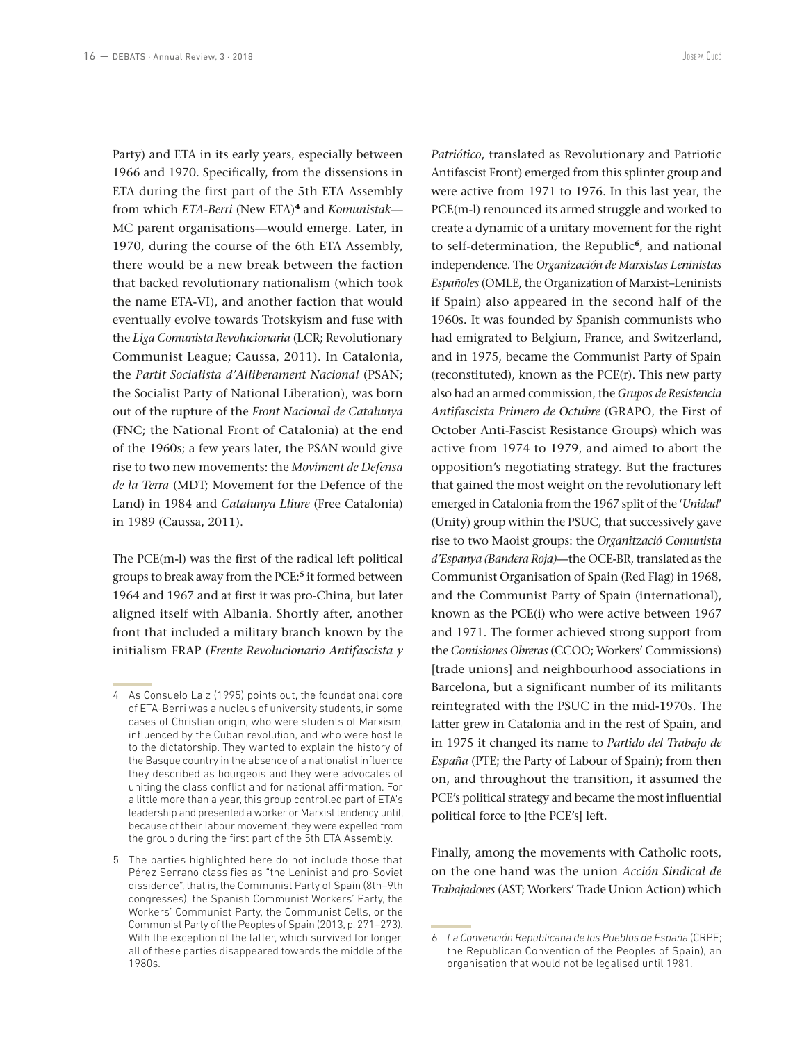Party) and ETA in its early years, especially between 1966 and 1970. Specifically, from the dissensions in ETA during the first part of the 5th ETA Assembly from which *ETA-Berri* (New ETA)**<sup>4</sup>** and *Komunistak*— MC parent organisations—would emerge. Later, in 1970, during the course of the 6th ETA Assembly, there would be a new break between the faction that backed revolutionary nationalism (which took the name ETA-VI), and another faction that would eventually evolve towards Trotskyism and fuse with the *Liga Comunista Revolucionaria* (LCR; Revolutionary Communist League; Caussa, 2011). In Catalonia, the *Partit Socialista d'Alliberament Nacional* (PSAN; the Socialist Party of National Liberation), was born out of the rupture of the *Front Nacional de Catalunya*  (FNC; the National Front of Catalonia) at the end of the 1960s; a few years later, the PSAN would give rise to two new movements: the *Moviment de Defensa de la Terra* (MDT; Movement for the Defence of the Land) in 1984 and *Catalunya Lliure* (Free Catalonia) in 1989 (Caussa, 2011).

The PCE(m-l) was the first of the radical left political groups to break away from the PCE:**<sup>5</sup>** it formed between 1964 and 1967 and at first it was pro-China, but later aligned itself with Albania. Shortly after, another front that included a military branch known by the initialism FRAP (*Frente Revolucionario Antifascista y*  *Patriótico*, translated as Revolutionary and Patriotic Antifascist Front) emerged from this splinter group and were active from 1971 to 1976. In this last year, the PCE(m-l) renounced its armed struggle and worked to create a dynamic of a unitary movement for the right to self-determination, the Republic**<sup>6</sup>**, and national independence. The *Organización de Marxistas Leninistas Españoles* (OMLE, the Organization of Marxist–Leninists if Spain) also appeared in the second half of the 1960s. It was founded by Spanish communists who had emigrated to Belgium, France, and Switzerland, and in 1975, became the Communist Party of Spain (reconstituted), known as the PCE(r). This new party also had an armed commission, the *Grupos de Resistencia Antifascista Primero de Octubre* (GRAPO, the First of October Anti-Fascist Resistance Groups) which was active from 1974 to 1979, and aimed to abort the opposition's negotiating strategy. But the fractures that gained the most weight on the revolutionary left emerged in Catalonia from the 1967 split of the '*Unidad*' (Unity) group within the PSUC, that successively gave rise to two Maoist groups: the *Organització Comunista d'Espanya (Bandera Roja)*—the OCE-BR, translated as the Communist Organisation of Spain (Red Flag) in 1968, and the Communist Party of Spain (international), known as the PCE(i) who were active between 1967 and 1971. The former achieved strong support from the *Comisiones Obreras* (CCOO; Workers' Commissions) [trade unions] and neighbourhood associations in Barcelona, but a significant number of its militants reintegrated with the PSUC in the mid-1970s. The latter grew in Catalonia and in the rest of Spain, and in 1975 it changed its name to *Partido del Trabajo de España* (PTE; the Party of Labour of Spain); from then on, and throughout the transition, it assumed the PCE's political strategy and became the most influential political force to [the PCE's] left.

Finally, among the movements with Catholic roots, on the one hand was the union *Acción Sindical de Trabajadores* (AST; Workers' Trade Union Action) which

<sup>4</sup> As Consuelo Laiz (1995) points out, the foundational core of ETA-Berri was a nucleus of university students, in some cases of Christian origin, who were students of Marxism, influenced by the Cuban revolution, and who were hostile to the dictatorship. They wanted to explain the history of the Basque country in the absence of a nationalist influence they described as bourgeois and they were advocates of uniting the class conflict and for national affirmation. For a little more than a year, this group controlled part of ETA's leadership and presented a worker or Marxist tendency until, because of their labour movement, they were expelled from the group during the first part of the 5th ETA Assembly.

<sup>5</sup> The parties highlighted here do not include those that Pérez Serrano classifies as "the Leninist and pro-Soviet dissidence", that is, the Communist Party of Spain (8th–9th congresses), the Spanish Communist Workers' Party, the Workers' Communist Party, the Communist Cells, or the Communist Party of the Peoples of Spain (2013, p. 271–273). With the exception of the latter, which survived for longer, all of these parties disappeared towards the middle of the 1980s.

<sup>6</sup> *La Convención Republicana de los Pueblos de España* (CRPE; the Republican Convention of the Peoples of Spain), an organisation that would not be legalised until 1981.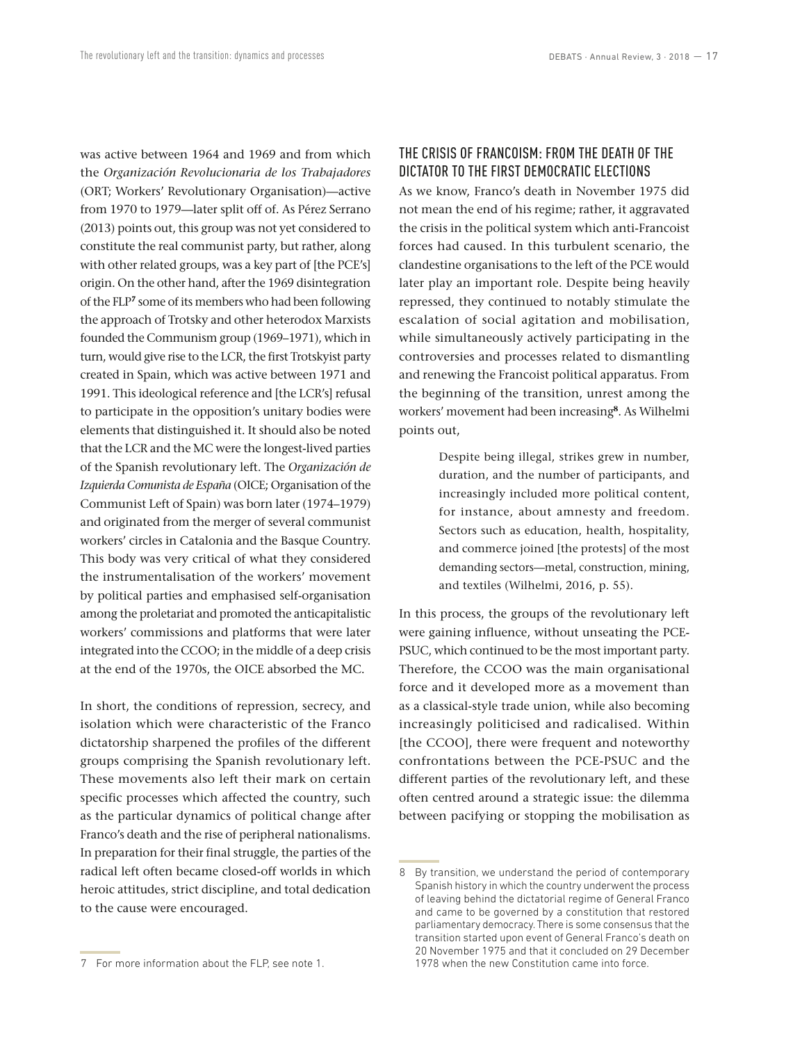was active between 1964 and 1969 and from which the *Organización Revolucionaria de los Trabajadores*  (ORT; Workers' Revolutionary Organisation)—active from 1970 to 1979—later split off of. As Pérez Serrano (2013) points out, this group was not yet considered to constitute the real communist party, but rather, along with other related groups, was a key part of [the PCE's] origin. On the other hand, after the 1969 disintegration of the FLP**<sup>7</sup>** some of its members who had been following the approach of Trotsky and other heterodox Marxists founded the Communism group (1969–1971), which in turn, would give rise to the LCR, the first Trotskyist party created in Spain, which was active between 1971 and 1991. This ideological reference and [the LCR's] refusal to participate in the opposition's unitary bodies were elements that distinguished it. It should also be noted that the LCR and the MC were the longest-lived parties of the Spanish revolutionary left. The *Organización de Izquierda Comunista de España* (OICE; Organisation of the Communist Left of Spain) was born later (1974–1979) and originated from the merger of several communist workers' circles in Catalonia and the Basque Country. This body was very critical of what they considered the instrumentalisation of the workers' movement by political parties and emphasised self-organisation among the proletariat and promoted the anticapitalistic workers' commissions and platforms that were later integrated into the CCOO; in the middle of a deep crisis at the end of the 1970s, the OICE absorbed the MC.

In short, the conditions of repression, secrecy, and isolation which were characteristic of the Franco dictatorship sharpened the profiles of the different groups comprising the Spanish revolutionary left. These movements also left their mark on certain specific processes which affected the country, such as the particular dynamics of political change after Franco's death and the rise of peripheral nationalisms. In preparation for their final struggle, the parties of the radical left often became closed-off worlds in which heroic attitudes, strict discipline, and total dedication to the cause were encouraged.

# THE CRISIS OF FRANCOISM: FROM THE DEATH OF THE DICTATOR TO THE FIRST DEMOCRATIC ELECTIONS

As we know, Franco's death in November 1975 did not mean the end of his regime; rather, it aggravated the crisis in the political system which anti-Francoist forces had caused. In this turbulent scenario, the clandestine organisations to the left of the PCE would later play an important role. Despite being heavily repressed, they continued to notably stimulate the escalation of social agitation and mobilisation, while simultaneously actively participating in the controversies and processes related to dismantling and renewing the Francoist political apparatus. From the beginning of the transition, unrest among the workers' movement had been increasing**<sup>8</sup>**. As Wilhelmi points out,

> Despite being illegal, strikes grew in number, duration, and the number of participants, and increasingly included more political content, for instance, about amnesty and freedom. Sectors such as education, health, hospitality, and commerce joined [the protests] of the most demanding sectors—metal, construction, mining, and textiles (Wilhelmi, 2016, p. 55).

In this process, the groups of the revolutionary left were gaining influence, without unseating the PCE-PSUC, which continued to be the most important party. Therefore, the CCOO was the main organisational force and it developed more as a movement than as a classical-style trade union, while also becoming increasingly politicised and radicalised. Within [the CCOO], there were frequent and noteworthy confrontations between the PCE-PSUC and the different parties of the revolutionary left, and these often centred around a strategic issue: the dilemma between pacifying or stopping the mobilisation as

<sup>8</sup> By transition, we understand the period of contemporary Spanish history in which the country underwent the process of leaving behind the dictatorial regime of General Franco and came to be governed by a constitution that restored parliamentary democracy. There is some consensus that the transition started upon event of General Franco's death on 20 November 1975 and that it concluded on 29 December 1978 when the new Constitution came into force.

<sup>7</sup> For more information about the FLP, see note 1.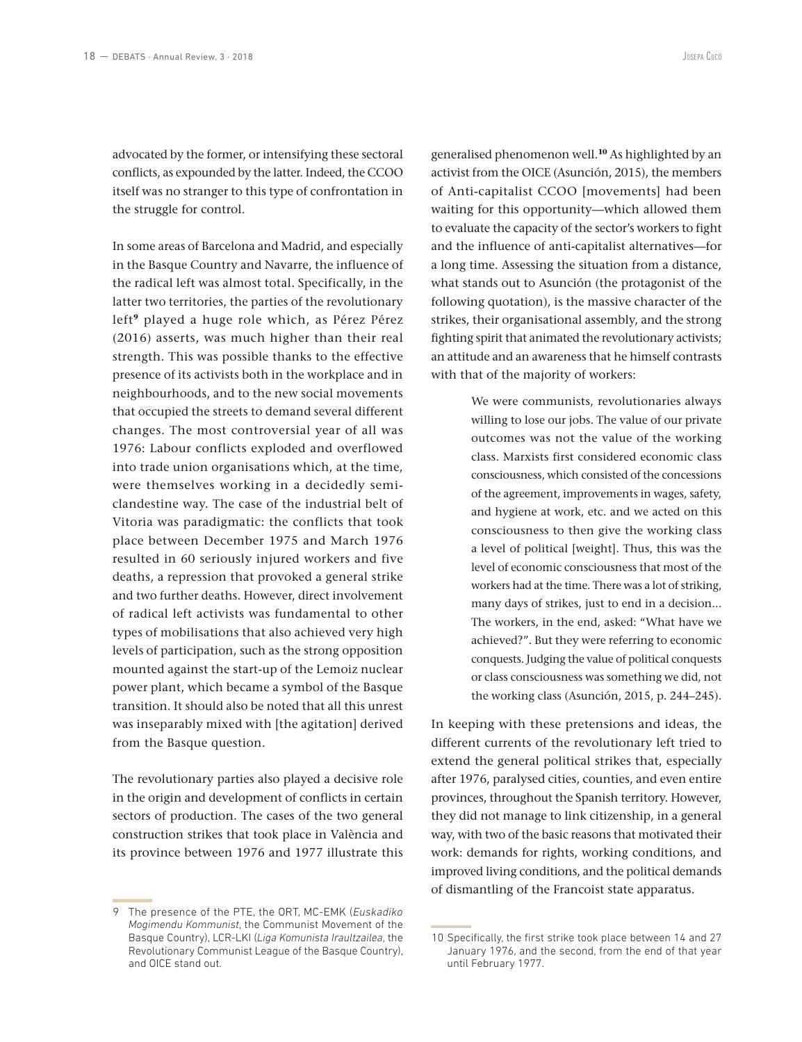advocated by the former, or intensifying these sectoral conflicts, as expounded by the latter. Indeed, the CCOO itself was no stranger to this type of confrontation in the struggle for control.

In some areas of Barcelona and Madrid, and especially in the Basque Country and Navarre, the influence of the radical left was almost total. Specifically, in the latter two territories, the parties of the revolutionary left**<sup>9</sup>** played a huge role which, as Pérez Pérez (2016) asserts, was much higher than their real strength. This was possible thanks to the effective presence of its activists both in the workplace and in neighbourhoods, and to the new social movements that occupied the streets to demand several different changes. The most controversial year of all was 1976: Labour conflicts exploded and overflowed into trade union organisations which, at the time, were themselves working in a decidedly semiclandestine way. The case of the industrial belt of Vitoria was paradigmatic: the conflicts that took place between December 1975 and March 1976 resulted in 60 seriously injured workers and five deaths, a repression that provoked a general strike and two further deaths. However, direct involvement of radical left activists was fundamental to other types of mobilisations that also achieved very high levels of participation, such as the strong opposition mounted against the start-up of the Lemoiz nuclear power plant, which became a symbol of the Basque transition. It should also be noted that all this unrest was inseparably mixed with [the agitation] derived from the Basque question.

The revolutionary parties also played a decisive role in the origin and development of conflicts in certain sectors of production. The cases of the two general construction strikes that took place in València and its province between 1976 and 1977 illustrate this

9 The presence of the PTE, the ORT, MC-EMK (*Euskadiko Mogimendu Kommunist*, the Communist Movement of the Basque Country), LCR-LKI (*Liga Komunista Iraultzailea*, the Revolutionary Communist League of the Basque Country), and OICE stand out.

generalised phenomenon well.**<sup>10</sup>** As highlighted by an activist from the OICE (Asunción, 2015), the members of Anti-capitalist CCOO [movements] had been waiting for this opportunity—which allowed them to evaluate the capacity of the sector's workers to fight and the influence of anti-capitalist alternatives—for a long time. Assessing the situation from a distance, what stands out to Asunción (the protagonist of the following quotation), is the massive character of the strikes, their organisational assembly, and the strong fighting spirit that animated the revolutionary activists; an attitude and an awareness that he himself contrasts with that of the majority of workers:

> We were communists, revolutionaries always willing to lose our jobs. The value of our private outcomes was not the value of the working class. Marxists first considered economic class consciousness, which consisted of the concessions of the agreement, improvements in wages, safety, and hygiene at work, etc. and we acted on this consciousness to then give the working class a level of political [weight]. Thus, this was the level of economic consciousness that most of the workers had at the time. There was a lot of striking, many days of strikes, just to end in a decision... The workers, in the end, asked: "What have we achieved?". But they were referring to economic conquests. Judging the value of political conquests or class consciousness was something we did, not the working class (Asunción, 2015, p. 244–245).

In keeping with these pretensions and ideas, the different currents of the revolutionary left tried to extend the general political strikes that, especially after 1976, paralysed cities, counties, and even entire provinces, throughout the Spanish territory. However, they did not manage to link citizenship, in a general way, with two of the basic reasons that motivated their work: demands for rights, working conditions, and improved living conditions, and the political demands of dismantling of the Francoist state apparatus.

<sup>10</sup> Specifically, the first strike took place between 14 and 27 January 1976, and the second, from the end of that year until February 1977.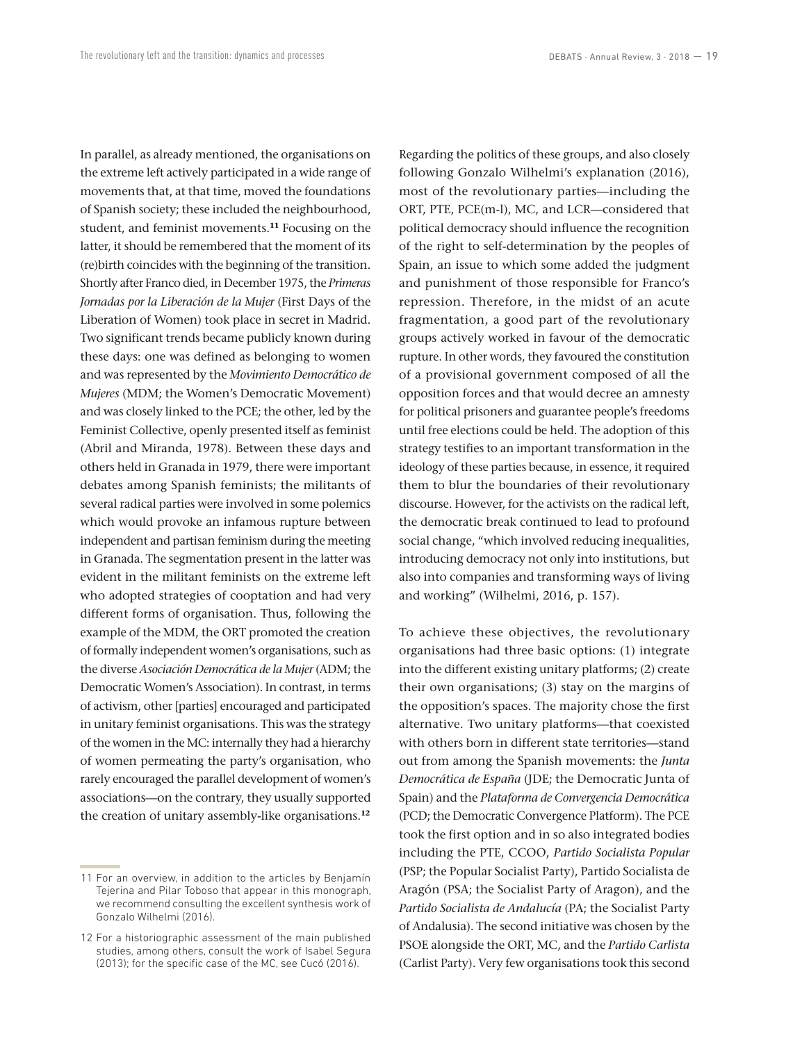In parallel, as already mentioned, the organisations on the extreme left actively participated in a wide range of movements that, at that time, moved the foundations of Spanish society; these included the neighbourhood, student, and feminist movements.**<sup>11</sup>** Focusing on the latter, it should be remembered that the moment of its (re)birth coincides with the beginning of the transition. Shortly after Franco died, in December 1975, the *Primeras Jornadas por la Liberación de la Mujer* (First Days of the Liberation of Women) took place in secret in Madrid. Two significant trends became publicly known during these days: one was defined as belonging to women and was represented by the *Movimiento Democrático de Mujeres* (MDM; the Women's Democratic Movement) and was closely linked to the PCE; the other, led by the Feminist Collective, openly presented itself as feminist (Abril and Miranda, 1978). Between these days and others held in Granada in 1979, there were important debates among Spanish feminists; the militants of several radical parties were involved in some polemics which would provoke an infamous rupture between independent and partisan feminism during the meeting in Granada. The segmentation present in the latter was evident in the militant feminists on the extreme left who adopted strategies of cooptation and had very different forms of organisation. Thus, following the example of the MDM, the ORT promoted the creation of formally independent women's organisations, such as the diverse *Asociación Democrática de la Mujer* (ADM; the Democratic Women's Association). In contrast, in terms of activism, other [parties] encouraged and participated in unitary feminist organisations. This was the strategy of the women in the MC: internally they had a hierarchy of women permeating the party's organisation, who rarely encouraged the parallel development of women's associations—on the contrary, they usually supported the creation of unitary assembly-like organisations.**<sup>12</sup>**

Regarding the politics of these groups, and also closely following Gonzalo Wilhelmi's explanation (2016), most of the revolutionary parties—including the ORT, PTE, PCE(m-l), MC, and LCR—considered that political democracy should influence the recognition of the right to self-determination by the peoples of Spain, an issue to which some added the judgment and punishment of those responsible for Franco's repression. Therefore, in the midst of an acute fragmentation, a good part of the revolutionary groups actively worked in favour of the democratic rupture. In other words, they favoured the constitution of a provisional government composed of all the opposition forces and that would decree an amnesty for political prisoners and guarantee people's freedoms until free elections could be held. The adoption of this strategy testifies to an important transformation in the ideology of these parties because, in essence, it required them to blur the boundaries of their revolutionary discourse. However, for the activists on the radical left, the democratic break continued to lead to profound social change, "which involved reducing inequalities, introducing democracy not only into institutions, but also into companies and transforming ways of living and working" (Wilhelmi, 2016, p. 157).

To achieve these objectives, the revolutionary organisations had three basic options: (1) integrate into the different existing unitary platforms; (2) create their own organisations; (3) stay on the margins of the opposition's spaces. The majority chose the first alternative. Two unitary platforms—that coexisted with others born in different state territories—stand out from among the Spanish movements: the *Junta Democrática de España* (JDE; the Democratic Junta of Spain) and the *Plataforma de Convergencia Democrática* (PCD; the Democratic Convergence Platform). The PCE took the first option and in so also integrated bodies including the PTE, CCOO, *Partido Socialista Popular*  (PSP; the Popular Socialist Party), Partido Socialista de Aragón (PSA; the Socialist Party of Aragon), and the *Partido Socialista de Andalucía* (PA; the Socialist Party of Andalusia). The second initiative was chosen by the PSOE alongside the ORT, MC, and the *Partido Carlista*  (Carlist Party). Very few organisations took this second

<sup>11</sup> For an overview, in addition to the articles by Benjamín Tejerina and Pilar Toboso that appear in this monograph, we recommend consulting the excellent synthesis work of Gonzalo Wilhelmi (2016).

<sup>12</sup> For a historiographic assessment of the main published studies, among others, consult the work of Isabel Segura (2013); for the specific case of the MC, see Cucó (2016).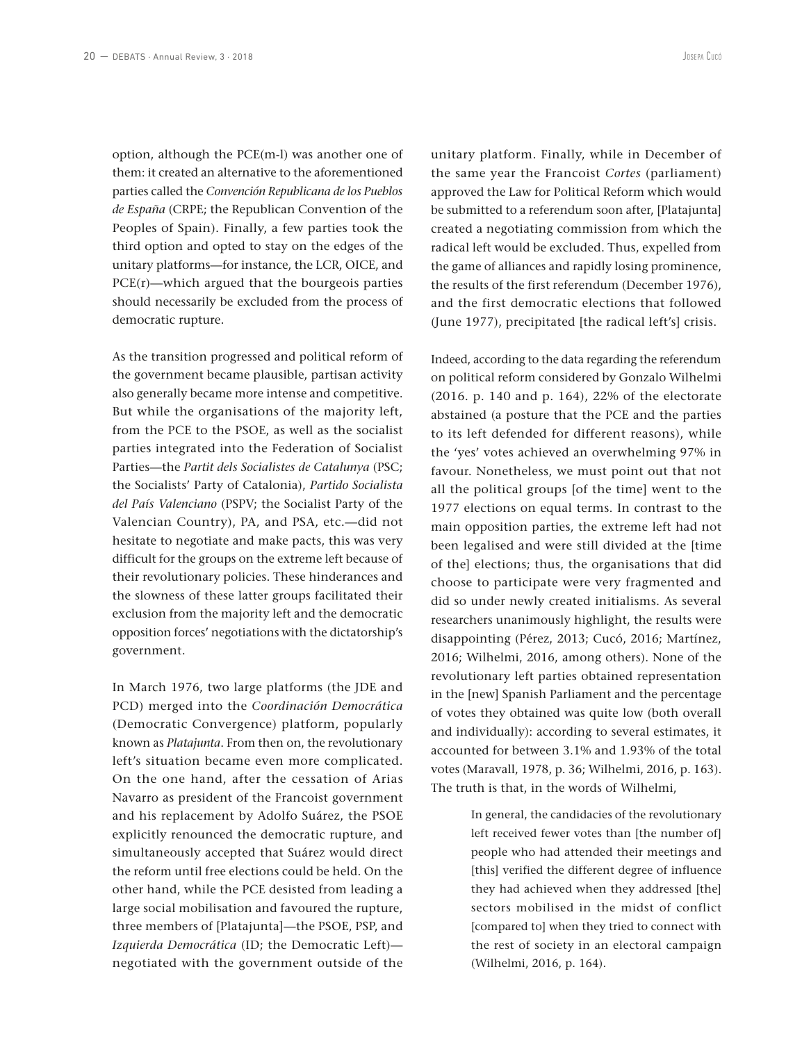option, although the PCE(m-l) was another one of them: it created an alternative to the aforementioned parties called the *Convención Republicana de los Pueblos de España* (CRPE; the Republican Convention of the Peoples of Spain). Finally, a few parties took the third option and opted to stay on the edges of the unitary platforms—for instance, the LCR, OICE, and PCE(r)—which argued that the bourgeois parties should necessarily be excluded from the process of democratic rupture.

As the transition progressed and political reform of the government became plausible, partisan activity also generally became more intense and competitive. But while the organisations of the majority left, from the PCE to the PSOE, as well as the socialist parties integrated into the Federation of Socialist Parties—the *Partit dels Socialistes de Catalunya* (PSC; the Socialists' Party of Catalonia), *Partido Socialista del País Valenciano* (PSPV; the Socialist Party of the Valencian Country), PA, and PSA, etc.—did not hesitate to negotiate and make pacts, this was very difficult for the groups on the extreme left because of their revolutionary policies. These hinderances and the slowness of these latter groups facilitated their exclusion from the majority left and the democratic opposition forces' negotiations with the dictatorship's government.

In March 1976, two large platforms (the JDE and PCD) merged into the *Coordinación Democrática*  (Democratic Convergence) platform, popularly known as *Platajunta*. From then on, the revolutionary left's situation became even more complicated. On the one hand, after the cessation of Arias Navarro as president of the Francoist government and his replacement by Adolfo Suárez, the PSOE explicitly renounced the democratic rupture, and simultaneously accepted that Suárez would direct the reform until free elections could be held. On the other hand, while the PCE desisted from leading a large social mobilisation and favoured the rupture, three members of [Platajunta]—the PSOE, PSP, and *Izquierda Democrática* (ID; the Democratic Left) negotiated with the government outside of the

unitary platform. Finally, while in December of the same year the Francoist *Cortes* (parliament) approved the Law for Political Reform which would be submitted to a referendum soon after, [Platajunta] created a negotiating commission from which the radical left would be excluded. Thus, expelled from the game of alliances and rapidly losing prominence, the results of the first referendum (December 1976), and the first democratic elections that followed (June 1977), precipitated [the radical left's] crisis.

Indeed, according to the data regarding the referendum on political reform considered by Gonzalo Wilhelmi (2016. p. 140 and p. 164), 22% of the electorate abstained (a posture that the PCE and the parties to its left defended for different reasons), while the 'yes' votes achieved an overwhelming 97% in favour. Nonetheless, we must point out that not all the political groups [of the time] went to the 1977 elections on equal terms. In contrast to the main opposition parties, the extreme left had not been legalised and were still divided at the [time of the] elections; thus, the organisations that did choose to participate were very fragmented and did so under newly created initialisms. As several researchers unanimously highlight, the results were disappointing (Pérez, 2013; Cucó, 2016; Martínez, 2016; Wilhelmi, 2016, among others). None of the revolutionary left parties obtained representation in the [new] Spanish Parliament and the percentage of votes they obtained was quite low (both overall and individually): according to several estimates, it accounted for between 3.1% and 1.93% of the total votes (Maravall, 1978, p. 36; Wilhelmi, 2016, p. 163). The truth is that, in the words of Wilhelmi,

> In general, the candidacies of the revolutionary left received fewer votes than [the number of] people who had attended their meetings and [this] verified the different degree of influence they had achieved when they addressed [the] sectors mobilised in the midst of conflict [compared to] when they tried to connect with the rest of society in an electoral campaign (Wilhelmi, 2016, p. 164).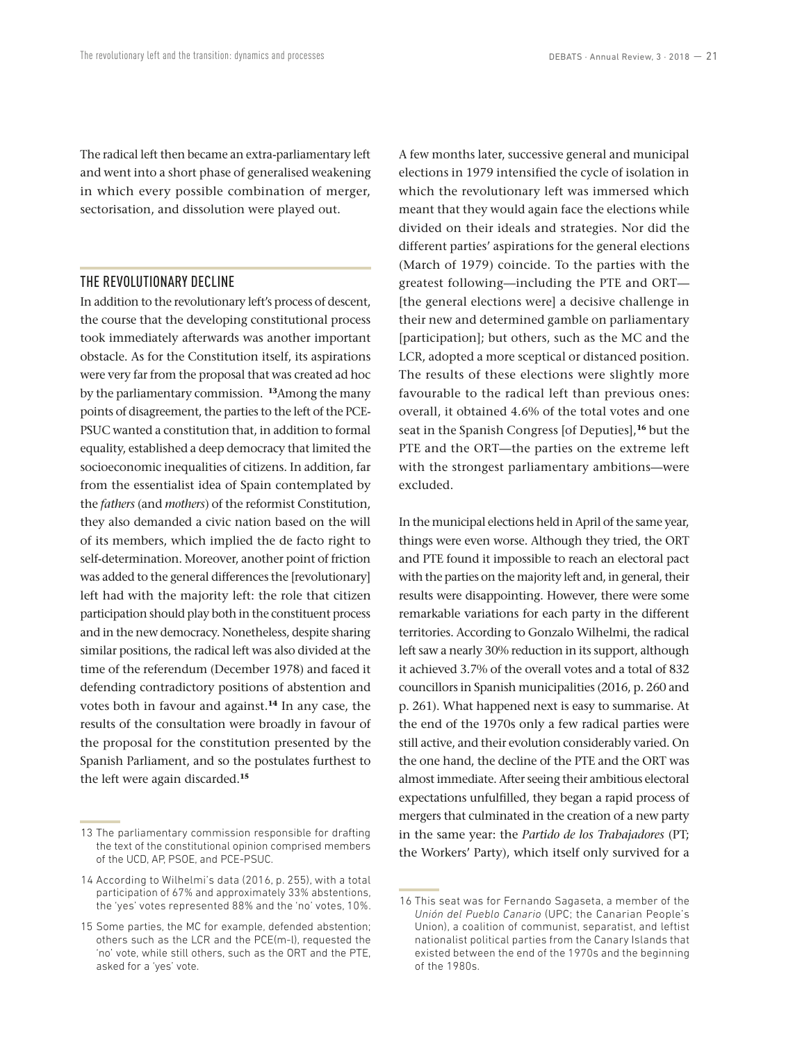The radical left then became an extra-parliamentary left and went into a short phase of generalised weakening in which every possible combination of merger, sectorisation, and dissolution were played out.

### THE REVOLUTIONARY DECLINE

In addition to the revolutionary left's process of descent, the course that the developing constitutional process took immediately afterwards was another important obstacle. As for the Constitution itself, its aspirations were very far from the proposal that was created ad hoc by the parliamentary commission. **<sup>13</sup>**Among the many points of disagreement, the parties to the left of the PCE-PSUC wanted a constitution that, in addition to formal equality, established a deep democracy that limited the socioeconomic inequalities of citizens. In addition, far from the essentialist idea of Spain contemplated by the *fathers* (and *mothers*) of the reformist Constitution, they also demanded a civic nation based on the will of its members, which implied the de facto right to self-determination. Moreover, another point of friction was added to the general differences the [revolutionary] left had with the majority left: the role that citizen participation should play both in the constituent process and in the new democracy. Nonetheless, despite sharing similar positions, the radical left was also divided at the time of the referendum (December 1978) and faced it defending contradictory positions of abstention and votes both in favour and against.**<sup>14</sup>** In any case, the results of the consultation were broadly in favour of the proposal for the constitution presented by the Spanish Parliament, and so the postulates furthest to the left were again discarded.**<sup>15</sup>**

A few months later, successive general and municipal elections in 1979 intensified the cycle of isolation in which the revolutionary left was immersed which meant that they would again face the elections while divided on their ideals and strategies. Nor did the different parties' aspirations for the general elections (March of 1979) coincide. To the parties with the greatest following—including the PTE and ORT— [the general elections were] a decisive challenge in their new and determined gamble on parliamentary [participation]; but others, such as the MC and the LCR, adopted a more sceptical or distanced position. The results of these elections were slightly more favourable to the radical left than previous ones: overall, it obtained 4.6% of the total votes and one seat in the Spanish Congress [of Deputies],**<sup>16</sup>** but the PTE and the ORT—the parties on the extreme left with the strongest parliamentary ambitions—were excluded.

In the municipal elections held in April of the same year, things were even worse. Although they tried, the ORT and PTE found it impossible to reach an electoral pact with the parties on the majority left and, in general, their results were disappointing. However, there were some remarkable variations for each party in the different territories. According to Gonzalo Wilhelmi, the radical left saw a nearly 30% reduction in its support, although it achieved 3.7% of the overall votes and a total of 832 councillors in Spanish municipalities (2016, p. 260 and p. 261). What happened next is easy to summarise. At the end of the 1970s only a few radical parties were still active, and their evolution considerably varied. On the one hand, the decline of the PTE and the ORT was almost immediate. After seeing their ambitious electoral expectations unfulfilled, they began a rapid process of mergers that culminated in the creation of a new party in the same year: the *Partido de los Trabajadores* (PT; the Workers' Party), which itself only survived for a

<sup>13</sup> The parliamentary commission responsible for drafting the text of the constitutional opinion comprised members of the UCD, AP, PSOE, and PCE-PSUC.

<sup>14</sup> According to Wilhelmi's data (2016, p. 255), with a total participation of 67% and approximately 33% abstentions, the 'yes' votes represented 88% and the 'no' votes, 10%.

<sup>15</sup> Some parties, the MC for example, defended abstention; others such as the LCR and the PCE(m-l), requested the 'no' vote, while still others, such as the ORT and the PTE, asked for a 'yes' vote.

<sup>16</sup> This seat was for Fernando Sagaseta, a member of the *Unión del Pueblo Canario* (UPC; the Canarian People's Union), a coalition of communist, separatist, and leftist nationalist political parties from the Canary Islands that existed between the end of the 1970s and the beginning of the 1980s.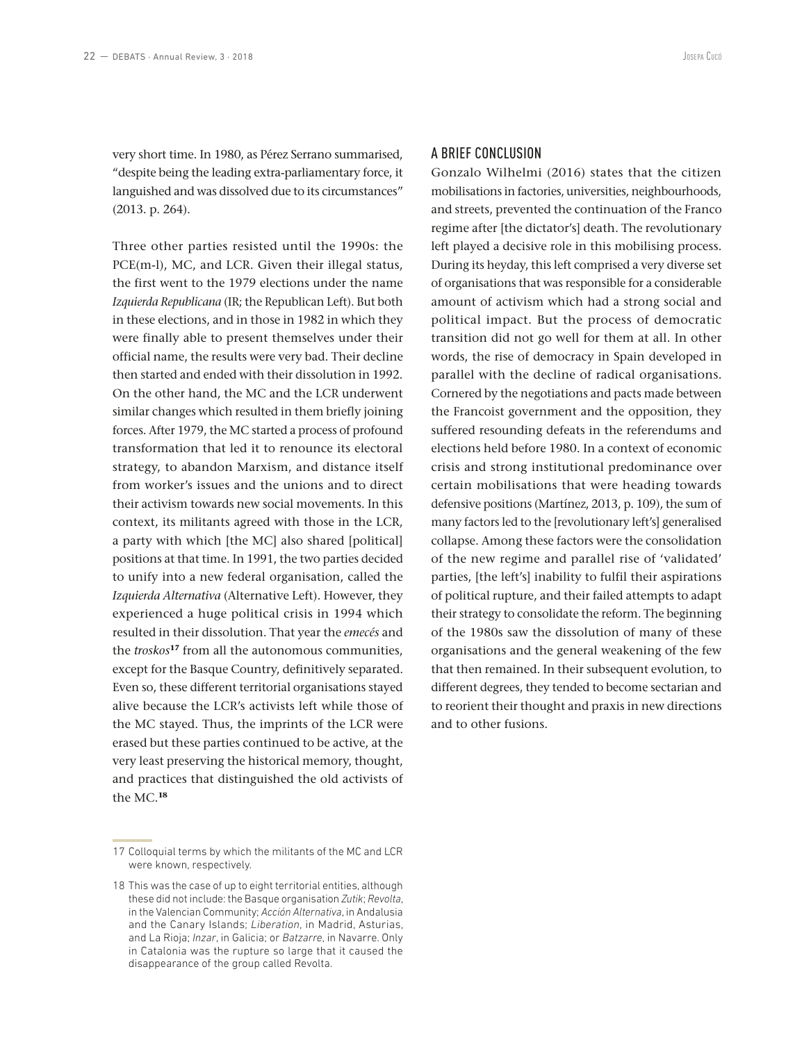very short time. In 1980, as Pérez Serrano summarised, "despite being the leading extra-parliamentary force, it languished and was dissolved due to its circumstances" (2013. p. 264).

Three other parties resisted until the 1990s: the PCE(m-l), MC, and LCR. Given their illegal status, the first went to the 1979 elections under the name *Izquierda Republicana* (IR; the Republican Left). But both in these elections, and in those in 1982 in which they were finally able to present themselves under their official name, the results were very bad. Their decline then started and ended with their dissolution in 1992. On the other hand, the MC and the LCR underwent similar changes which resulted in them briefly joining forces. After 1979, the MC started a process of profound transformation that led it to renounce its electoral strategy, to abandon Marxism, and distance itself from worker's issues and the unions and to direct their activism towards new social movements. In this context, its militants agreed with those in the LCR, a party with which [the MC] also shared [political] positions at that time. In 1991, the two parties decided to unify into a new federal organisation, called the *Izquierda Alternativa* (Alternative Left). However, they experienced a huge political crisis in 1994 which resulted in their dissolution. That year the *emecés* and the *troskos***<sup>17</sup>** from all the autonomous communities, except for the Basque Country, definitively separated. Even so, these different territorial organisations stayed alive because the LCR's activists left while those of the MC stayed. Thus, the imprints of the LCR were erased but these parties continued to be active, at the very least preserving the historical memory, thought, and practices that distinguished the old activists of the MC.**<sup>18</sup>**

#### A BRIEF CONCLUSION

Gonzalo Wilhelmi (2016) states that the citizen mobilisations in factories, universities, neighbourhoods, and streets, prevented the continuation of the Franco regime after [the dictator's] death. The revolutionary left played a decisive role in this mobilising process. During its heyday, this left comprised a very diverse set of organisations that was responsible for a considerable amount of activism which had a strong social and political impact. But the process of democratic transition did not go well for them at all. In other words, the rise of democracy in Spain developed in parallel with the decline of radical organisations. Cornered by the negotiations and pacts made between the Francoist government and the opposition, they suffered resounding defeats in the referendums and elections held before 1980. In a context of economic crisis and strong institutional predominance over certain mobilisations that were heading towards defensive positions (Martínez, 2013, p. 109), the sum of many factors led to the [revolutionary left's] generalised collapse. Among these factors were the consolidation of the new regime and parallel rise of 'validated' parties, [the left's] inability to fulfil their aspirations of political rupture, and their failed attempts to adapt their strategy to consolidate the reform. The beginning of the 1980s saw the dissolution of many of these organisations and the general weakening of the few that then remained. In their subsequent evolution, to different degrees, they tended to become sectarian and to reorient their thought and praxis in new directions and to other fusions.

<sup>17</sup> Colloquial terms by which the militants of the MC and LCR were known, respectively.

<sup>18</sup> This was the case of up to eight territorial entities, although these did not include: the Basque organisation *Zutik*; *Revolta*, in the Valencian Community; *Acción Alternativa*, in Andalusia and the Canary Islands; *Liberation*, in Madrid, Asturias, and La Rioja; *Inzar*, in Galicia; or *Batzarre*, in Navarre. Only in Catalonia was the rupture so large that it caused the disappearance of the group called Revolta.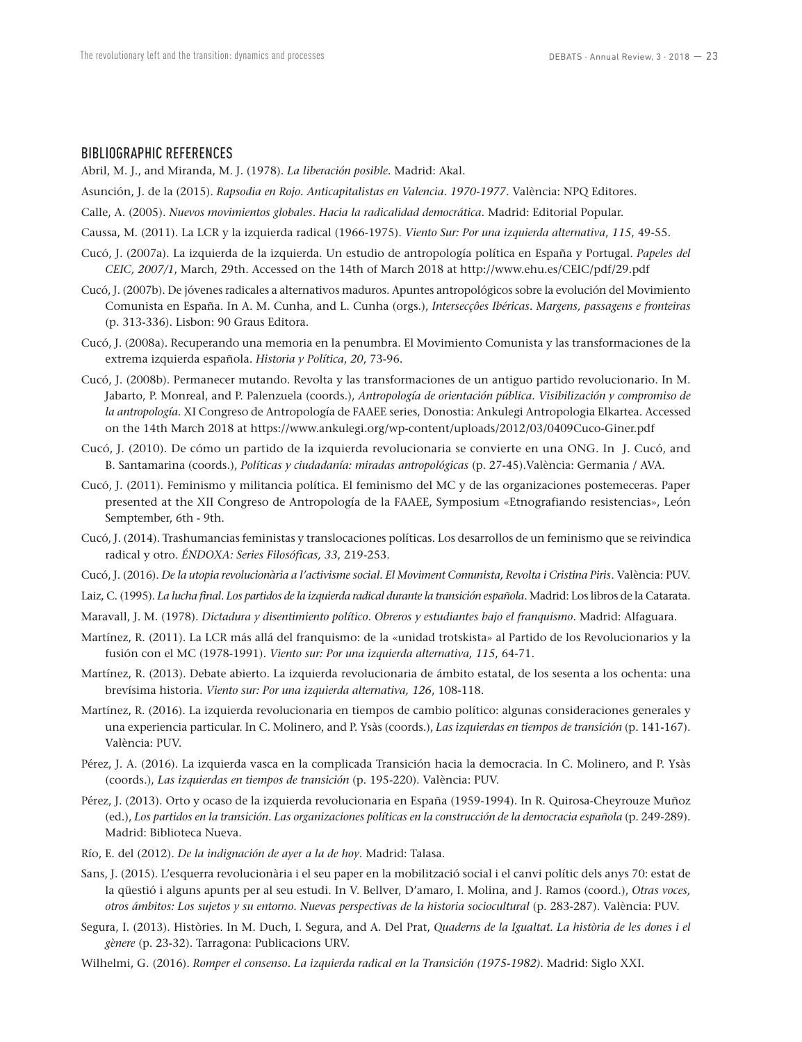#### BIBLIOGRAPHIC REFERENCES

Abril, M. J., and Miranda, M. J. (1978). *La liberación posible*. Madrid: Akal.

- Asunción, J. de la (2015). *Rapsodia en Rojo. Anticapitalistas en Valencia*. *1970-1977*. València: NPQ Editores.
- Calle, A. (2005). *Nuevos movimientos globales. Hacia la radicalidad democrática*. Madrid: Editorial Popular.
- Caussa, M. (2011). La LCR y la izquierda radical (1966-1975). *Viento Sur: Por una izquierda alternativa*, *115*, 49-55.
- Cucó, J. (2007a). La izquierda de la izquierda. Un estudio de antropología política en España y Portugal. *Papeles del CEIC, 2007/1*, March, 29th. Accessed on the 14th of March 2018 at http://www.ehu.es/CEIC/pdf/29.pdf
- Cucó, J. (2007b). De jóvenes radicales a alternativos maduros. Apuntes antropológicos sobre la evolución del Movimiento Comunista en España. In A. M. Cunha, and L. Cunha (orgs.), *Intersecçôes Ibéricas. Margens, passagens e fronteiras* (p. 313-336). Lisbon: 90 Graus Editora.
- Cucó, J. (2008a). Recuperando una memoria en la penumbra. El Movimiento Comunista y las transformaciones de la extrema izquierda española. *Historia y Política*, *20*, 73-96.
- Cucó, J. (2008b). Permanecer mutando. Revolta y las transformaciones de un antiguo partido revolucionario. In M. Jabarto, P. Monreal, and P. Palenzuela (coords.), *Antropología de orientación pública. Visibilización y compromiso de la antropología*. XI Congreso de Antropología de FAAEE series, Donostia: Ankulegi Antropologia Elkartea. Accessed on the 14th March 2018 at https://www.ankulegi.org/wp-content/uploads/2012/03/0409Cuco-Giner.pdf
- Cucó, J. (2010). De cómo un partido de la izquierda revolucionaria se convierte en una ONG. In J. Cucó, and B. Santamarina (coords.), *Políticas y ciudadanía: miradas antropológicas* (p. 27-45).València: Germania / AVA.
- Cucó, J. (2011). Feminismo y militancia política. El feminismo del MC y de las organizaciones postemeceras. Paper presented at the XII Congreso de Antropología de la FAAEE, Symposium «Etnografiando resistencias», León Semptember, 6th - 9th.
- Cucó, J. (2014). Trashumancias feministas y translocaciones políticas. Los desarrollos de un feminismo que se reivindica radical y otro. *ÉNDOXA: Series Filosóficas, 33*, 219-253.
- Cucó, J. (2016). *De la utopia revolucionària a l'activisme social. El Moviment Comunista, Revolta i Cristina Piris*. València: PUV.
- Laiz, C. (1995). *La lucha final. Los partidos de la izquierda radical durante la transición española*. Madrid: Los libros de la Catarata.
- Maravall, J. M. (1978). *Dictadura y disentimiento político. Obreros y estudiantes bajo el franquismo.* Madrid: Alfaguara.
- Martínez, R. (2011). La LCR más allá del franquismo: de la «unidad trotskista» al Partido de los Revolucionarios y la fusión con el MC (1978-1991). *Viento sur: Por una izquierda alternativa, 115*, 64-71.
- Martínez, R. (2013). Debate abierto. La izquierda revolucionaria de ámbito estatal, de los sesenta a los ochenta: una brevísima historia. *Viento sur: Por una izquierda alternativa, 126*, 108-118.
- Martínez, R. (2016). La izquierda revolucionaria en tiempos de cambio político: algunas consideraciones generales y una experiencia particular. In C. Molinero, and P. Ysàs (coords.), *Las izquierdas en tiempos de transición* (p. 141-167). València: PUV.
- Pérez, J. A. (2016). La izquierda vasca en la complicada Transición hacia la democracia. In C. Molinero, and P. Ysàs (coords.), *Las izquierdas en tiempos de transición* (p. 195-220). València: PUV.
- Pérez, J. (2013). Orto y ocaso de la izquierda revolucionaria en España (1959-1994). In R. Quirosa-Cheyrouze Muñoz (ed.), *Los partidos en la transición. Las organizaciones políticas en la construcción de la democracia española* (p. 249-289). Madrid: Biblioteca Nueva.
- Río, E. del (2012). *De la indignación de ayer a la de hoy*. Madrid: Talasa.
- Sans, J. (2015). L'esquerra revolucionària i el seu paper en la mobilització social i el canvi polític dels anys 70: estat de la qüestió i alguns apunts per al seu estudi. In V. Bellver, D'amaro, I. Molina, and J. Ramos (coord.), *Otras voces, otros ámbitos: Los sujetos y su entorno. Nuevas perspectivas de la historia sociocultural* (p. 283-287). València: PUV.
- Segura, I. (2013). Històries. In M. Duch, I. Segura, and A. Del Prat, *Quaderns de la Igualtat. La història de les dones i el gènere* (p. 23-32). Tarragona: Publicacions URV.
- Wilhelmi, G. (2016). *Romper el consenso. La izquierda radical en la Transición (1975-1982)*. Madrid: Siglo XXI.